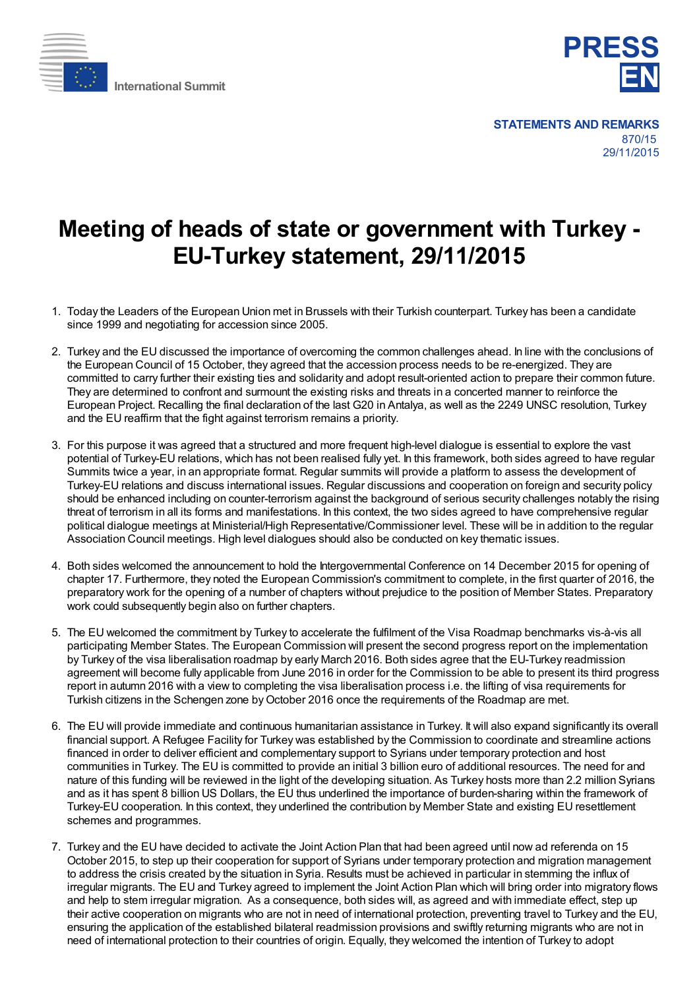



## **Meeting of heads of state or government with Turkey - EU-Turkey statement, 29/11/2015**

- 1. Today the Leaders of the European Union met in Brussels with their Turkish counterpart. Turkey has been a candidate since 1999 and negotiating for accession since 2005.
- 2. Turkey and the EU discussed the importance of overcoming the common challenges ahead. In line with the conclusions of the European Council of 15 October, they agreed that the accession process needs to be re-energized. They are committed to carry further their existing ties and solidarity and adopt result-oriented action to prepare their common future. They are determined to confront and surmount the existing risks and threats in a concerted manner to reinforce the European Project. Recalling the final declaration of the last G20 in Antalya, as well as the 2249 UNSC resolution, Turkey and the EU reaffirm that the fight against terrorism remains a priority.
- 3. For this purpose it was agreed that a structured and more frequent high-level dialogue is essential to explore the vast potential of Turkey-EU relations, which has not been realised fully yet. In this framework, both sides agreed to have regular Summits twice a year, in an appropriate format. Regular summits will provide a platform to assess the development of Turkey-EU relations and discuss international issues. Regular discussions and cooperation on foreign and security policy should be enhanced including on counter-terrorism against the background of serious security challenges notably the rising threat of terrorism in all its forms and manifestations. In this context, the two sides agreed to have comprehensive regular political dialogue meetings at Ministerial/High Representative/Commissioner level. These will be in addition to the regular Association Council meetings. High level dialogues should also be conducted on key thematic issues.
- 4. Both sides welcomed the announcement to hold the Intergovernmental Conference on 14 December 2015 for opening of chapter 17. Furthermore, they noted the European Commission's commitment to complete, in the first quarter of 2016, the preparatory work for the opening of a number of chapters without prejudice to the position of Member States. Preparatory work could subsequently begin also on further chapters.
- 5. The EU welcomed the commitment by Turkey to accelerate the fulfilment of the Visa Roadmap benchmarks vis-à-vis all participating Member States. The European Commission will present the second progress report on the implementation by Turkey of the visa liberalisation roadmap by early March 2016. Both sides agree that the EU-Turkey readmission agreement will become fully applicable from June 2016 in order for the Commission to be able to present its third progress report in autumn 2016 with a view to completing the visa liberalisation process i.e. the lifting of visa requirements for Turkish citizens in the Schengen zone by October 2016 once the requirements of the Roadmap are met.
- 6. The EU will provide immediate and continuous humanitarian assistance in Turkey. It will also expand significantly its overall financial support. A Refugee Facility for Turkey was established by the Commission to coordinate and streamline actions financed in order to deliver efficient and complementary support to Syrians under temporary protection and host communities in Turkey. The EU is committed to provide an initial 3 billion euro of additional resources. The need for and nature of this funding will be reviewed in the light of the developing situation. As Turkey hosts more than 2.2 million Syrians and as it has spent 8 billion US Dollars, the EU thus underlined the importance of burden-sharing within the framework of Turkey-EU cooperation. In this context, they underlined the contribution by Member State and existing EU resettlement schemes and programmes.
- 7. Turkey and the EU have decided to activate the Joint Action Plan that had been agreed until now ad referenda on 15 October 2015, to step up their cooperation for support of Syrians under temporary protection and migration management to address the crisis created by the situation in Syria. Results must be achieved in particular in stemming the influx of irregular migrants. The EU and Turkey agreed to implement the Joint Action Plan which will bring order into migratory flows and help to stem irregular migration. As a consequence, both sides will, as agreed and with immediate effect, step up their active cooperation on migrants who are not in need of international protection, preventing travel to Turkey and the EU, ensuring the application of the established bilateral readmission provisions and swiftly returning migrants who are not in need of international protection to their countries of origin. Equally, they welcomed the intention of Turkey to adopt